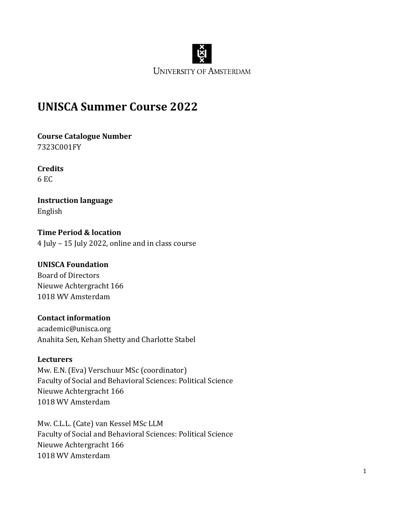

# **UNISCA Summer Course 2022**

**Course Catalogue Number** 7323C001FY

**Credits** 6 EC

**Instruction language** English

**Time Period & location** 4 July – 15 July 2022, online and in class course

#### **UNISCA Foundation**

Board of Directors Nieuwe Achtergracht 166 1018 WV Amsterdam

#### **Contact information**

[academic@unisca.org](mailto:academic@unisca.org) Anahita Sen, Kehan Shetty and Charlotte Stabel

#### **Lecturers**

Mw. E.N. (Eva) Verschuur MSc (coordinator) Faculty of Social and Behavioral Sciences: Political Science Nieuwe Achtergracht 166 1018 WV Amsterdam

Mw. C.L.L. (Cate) van Kessel MSc LLM Faculty of Social and Behavioral Sciences: Political Science Nieuwe Achtergracht 166 1018 WV Amsterdam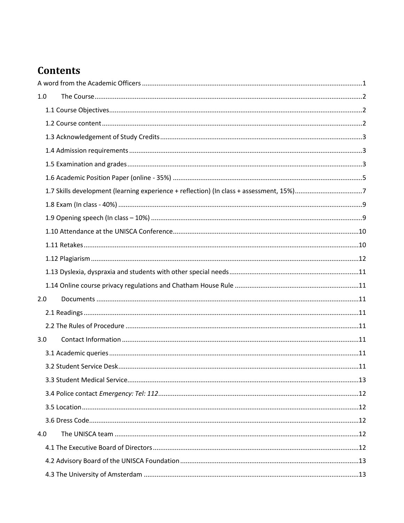# **Contents**

| 1.0 |  |  |  |  |  |
|-----|--|--|--|--|--|
|     |  |  |  |  |  |
|     |  |  |  |  |  |
|     |  |  |  |  |  |
|     |  |  |  |  |  |
|     |  |  |  |  |  |
|     |  |  |  |  |  |
|     |  |  |  |  |  |
|     |  |  |  |  |  |
|     |  |  |  |  |  |
|     |  |  |  |  |  |
|     |  |  |  |  |  |
|     |  |  |  |  |  |
|     |  |  |  |  |  |
|     |  |  |  |  |  |
| 2.0 |  |  |  |  |  |
|     |  |  |  |  |  |
|     |  |  |  |  |  |
| 3.0 |  |  |  |  |  |
|     |  |  |  |  |  |
|     |  |  |  |  |  |
|     |  |  |  |  |  |
|     |  |  |  |  |  |
|     |  |  |  |  |  |
|     |  |  |  |  |  |
| 4.0 |  |  |  |  |  |
|     |  |  |  |  |  |
|     |  |  |  |  |  |
|     |  |  |  |  |  |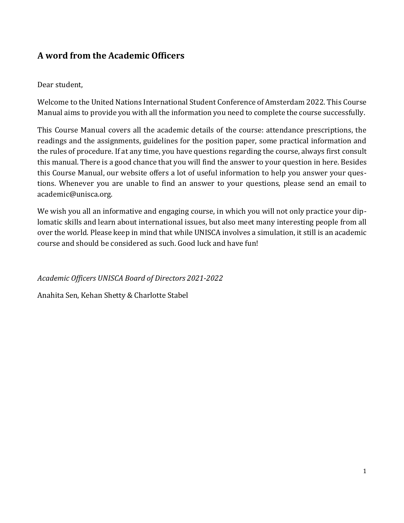# <span id="page-2-0"></span>**A word from the Academic Officers**

### Dear student,

Welcome to the United Nations International Student Conference of Amsterdam 2022. This Course Manual aims to provide you with all the information you need to complete the course successfully.

This Course Manual covers all the academic details of the course: attendance prescriptions, the readings and the assignments, guidelines for the position paper, some practical information and the rules of procedure. If at any time, you have questions regarding the course, always first consult this manual. There is a good chance that you will find the answer to your question in here. Besides this Course Manual, our website offers a lot of useful information to help you answer your questions. Whenever you are unable to find an answer to your questions, please send an email to [academic@unisca.org.](mailto:academic@unisca.org)

We wish you all an informative and engaging course, in which you will not only practice your diplomatic skills and learn about international issues, but also meet many interesting people from all over the world. Please keep in mind that while UNISCA involves a simulation, it still is an academic course and should be considered as such. Good luck and have fun!

*Academic Officers UNISCA Board of Directors 2021-2022*

Anahita Sen, Kehan Shetty & Charlotte Stabel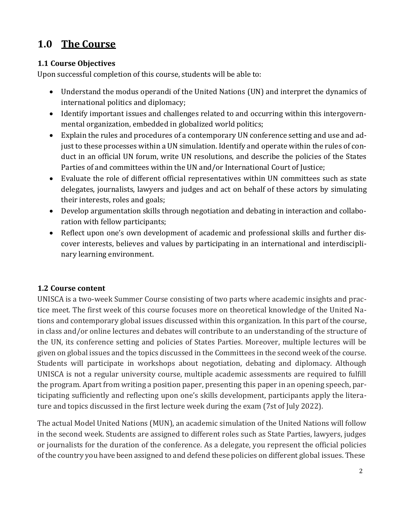# <span id="page-3-0"></span>**1.0 The Course**

### <span id="page-3-1"></span>**1.1 Course Objectives**

Upon successful completion of this course, students will be able to:

- Understand the modus operandi of the United Nations (UN) and interpret the dynamics of international politics and diplomacy;
- Identify important issues and challenges related to and occurring within this intergovernmental organization, embedded in globalized world politics;
- Explain the rules and procedures of a contemporary UN conference setting and use and adjust to these processes within a UN simulation. Identify and operate within the rules of conduct in an official UN forum, write UN resolutions, and describe the policies of the States Parties of and committees within the UN and/or International Court of Justice;
- Evaluate the role of different official representatives within UN committees such as state delegates, journalists, lawyers and judges and act on behalf of these actors by simulating their interests, roles and goals;
- Develop argumentation skills through negotiation and debating in interaction and collaboration with fellow participants;
- Reflect upon one's own development of academic and professional skills and further discover interests, believes and values by participating in an international and interdisciplinary learning environment.

# <span id="page-3-2"></span>**1.2 Course content**

UNISCA is a two-week Summer Course consisting of two parts where academic insights and practice meet. The first week of this course focuses more on theoretical knowledge of the United Nations and contemporary global issues discussed within this organization. In this part of the course, in class and/or online lectures and debates will contribute to an understanding of the structure of the UN, its conference setting and policies of States Parties. Moreover, multiple lectures will be given on global issues and the topics discussed in the Committees in the second week of the course. Students will participate in workshops about negotiation, debating and diplomacy. Although UNISCA is not a regular university course, multiple academic assessments are required to fulfill the program. Apart from writing a position paper, presenting this paper in an opening speech, participating sufficiently and reflecting upon one's skills development, participants apply the literature and topics discussed in the first lecture week during the exam (7st of July 2022).

The actual Model United Nations (MUN), an academic simulation of the United Nations will follow in the second week. Students are assigned to different roles such as State Parties, lawyers, judges or journalists for the duration of the conference. As a delegate, you represent the official policies ofthe country you have been assigned to and defend these policies on different global issues. These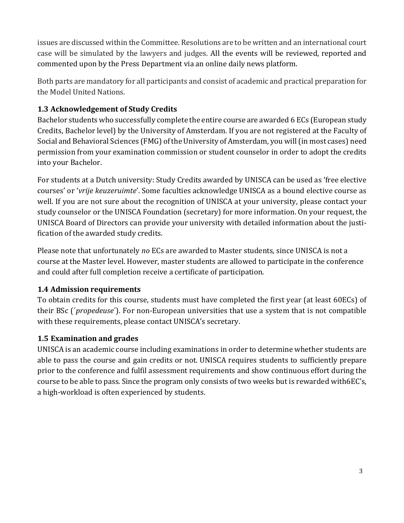issues are discussed within the Committee. Resolutions are to be written and an international court case will be simulated by the lawyers and judges. All the events will be reviewed, reported and commented upon by the Press Department via an online daily news platform.

Both parts are mandatory for all participants and consist of academic and practical preparation for the Model United Nations.

# <span id="page-4-0"></span>**1.3 Acknowledgement of Study Credits**

Bachelor students who successfully complete the entire course are awarded 6 ECs (European study Credits, Bachelor level) by the University of Amsterdam. If you are not registered at the Faculty of Social and Behavioral Sciences (FMG) of the University of Amsterdam, you will (in most cases) need permission from your examination commission or student counselor in order to adopt the credits into your Bachelor.

For students at a Dutch university: Study Credits awarded by UNISCA can be used as 'free elective courses' or '*vrije keuzeruimte*'. Some faculties acknowledge UNISCA as a bound elective course as well. If you are not sure about the recognition of UNISCA at your university, please contact your study counselor or the UNISCA Foundation (secretary) for more information. On your request, the UNISCA Board of Directors can provide your university with detailed information about the justification of the awarded study credits.

Please note that unfortunately *no* ECs are awarded to Master students, since UNISCA is not a course at the Master level. However, master students are allowed to participate in the conference and could after full completion receive a certificate of participation.

# <span id="page-4-1"></span>**1.4 Admission requirements**

To obtain credits for this course, students must have completed the first year (at least 60ECs) of their BSc (´*propedeuse*´). For non-European universities that use a system that is not compatible with these requirements, please contact UNISCA's secretary.

# <span id="page-4-2"></span>**1.5 Examination and grades**

UNISCA is an academic course including examinations in order to determine whether students are able to pass the course and gain credits or not. UNISCA requires students to sufficiently prepare prior to the conference and fulfil assessment requirements and show continuous effort during the course to be able to pass. Since the program only consists of two weeks but is rewarded with6EC's, a high-workload is often experienced by students.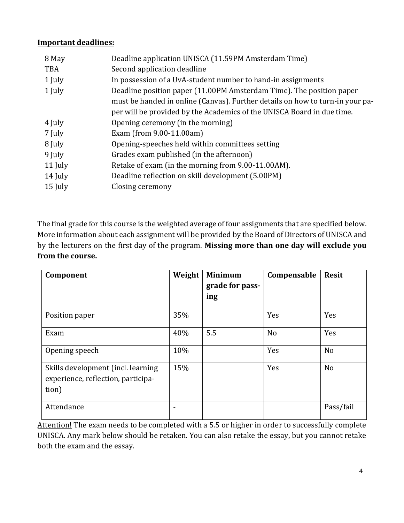#### **Important deadlines:**

| 8 May      | Deadline application UNISCA (11.59PM Amsterdam Time)                                                                                                    |  |  |  |
|------------|---------------------------------------------------------------------------------------------------------------------------------------------------------|--|--|--|
| <b>TBA</b> | Second application deadline                                                                                                                             |  |  |  |
| 1 July     | In possession of a UvA-student number to hand-in assignments                                                                                            |  |  |  |
| 1 July     | Deadline position paper (11.00PM Amsterdam Time). The position paper                                                                                    |  |  |  |
|            | must be handed in online (Canvas). Further details on how to turn-in your pa-<br>per will be provided by the Academics of the UNISCA Board in due time. |  |  |  |
| 4 July     | Opening ceremony (in the morning)                                                                                                                       |  |  |  |
| 7 July     | Exam (from 9.00-11.00am)                                                                                                                                |  |  |  |
| 8 July     | Opening-speeches held within committees setting                                                                                                         |  |  |  |
| 9 July     | Grades exam published (in the afternoon)                                                                                                                |  |  |  |
| 11 July    | Retake of exam (in the morning from 9.00-11.00AM).                                                                                                      |  |  |  |
| 14 July    | Deadline reflection on skill development (5.00PM)                                                                                                       |  |  |  |
| 15 July    | Closing ceremony                                                                                                                                        |  |  |  |
|            |                                                                                                                                                         |  |  |  |

The final grade for this course is the weighted average of four assignments that are specified below. More information about each assignment will be provided by the Board of Directors of UNISCA and by the lecturers on the first day of the program. **Missing more than one day will exclude you from the course.**

| Component                                                                         | Weight | <b>Minimum</b><br>grade for pass-<br>ing | Compensable    | <b>Resit</b>   |
|-----------------------------------------------------------------------------------|--------|------------------------------------------|----------------|----------------|
| Position paper                                                                    | 35%    |                                          | Yes            | Yes            |
| Exam                                                                              | 40%    | 5.5                                      | N <sub>o</sub> | Yes            |
| Opening speech                                                                    | 10%    |                                          | Yes            | N <sub>o</sub> |
| Skills development (incl. learning<br>experience, reflection, participa-<br>tion) | 15%    |                                          | Yes            | N <sub>o</sub> |
| Attendance                                                                        |        |                                          |                | Pass/fail      |

Attention! The exam needs to be completed with a 5.5 or higher in order to successfully complete UNISCA. Any mark below should be retaken. You can also retake the essay, but you cannot retake both the exam and the essay.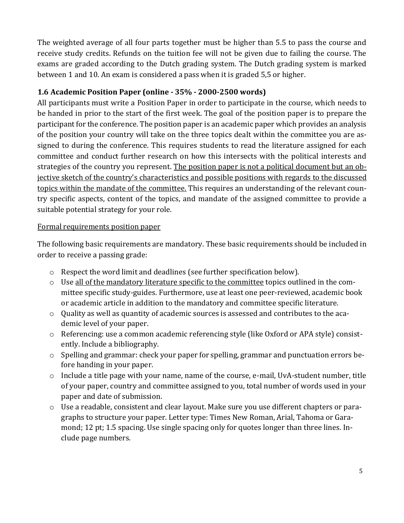The weighted average of all four parts together must be higher than 5.5 to pass the course and receive study credits. Refunds on the tuition fee will not be given due to failing the course. The exams are graded according to the Dutch grading system. The Dutch grading system is marked between 1 and 10. An exam is considered a pass when it is graded 5,5 or higher.

### **1.6 Academic Position Paper (online - 35% - 2000-2500 words)**

All participants must write a Position Paper in order to participate in the course, which needs to be handed in prior to the start of the first week. The goal of the position paper is to prepare the participant for the conference. The position paper is an academic paper which provides an analysis of the position your country will take on the three topics dealt within the committee you are assigned to during the conference. This requires students to read the literature assigned for each committee and conduct further research on how this intersects with the political interests and strategies of the country you represent. The position paper is not a political document but an objective sketch of the country's characteristics and possible positions with regards to the discussed topics within the mandate of the committee. This requires an understanding of the relevant country specific aspects, content of the topics, and mandate of the assigned committee to provide a suitable potential strategy for your role.

### Formal requirements position paper

The following basic requirements are mandatory. These basic requirements should be included in order to receive a passing grade:

- o Respect the word limit and deadlines (see further specification below).
- $\circ$  Use all of the mandatory literature specific to the committee topics outlined in the committee specific study-guides. Furthermore, use at least one peer-reviewed, academic book or academic article in addition to the mandatory and committee specific literature.
- o Quality as well as quantity of academic sources is assessed and contributes to the academic level of your paper.
- o Referencing: use a common academic referencing style (like Oxford or APA style) consistently. Include a bibliography.
- o Spelling and grammar: check your paper for spelling, grammar and punctuation errors before handing in your paper.
- o Include a title page with your name, name of the course, e-mail, UvA-student number, title of your paper, country and committee assigned to you, total number of words used in your paper and date of submission.
- o Use a readable, consistent and clear layout. Make sure you use different chapters or paragraphs to structure your paper. Letter type: Times New Roman, Arial, Tahoma or Garamond; 12 pt; 1.5 spacing. Use single spacing only for quotes longer than three lines. Include page numbers.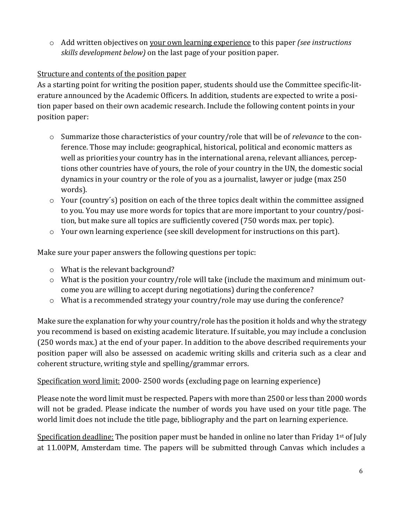o Add written objectives on your own learning experience to this paper *(see instructions skills development below)* on the last page of your position paper.

# Structure and contents of the position paper

As a starting point for writing the position paper, students should use the Committee specific-literature announced by the Academic Officers. In addition, students are expected to write a position paper based on their own academic research. Include the following content points in your position paper:

- o Summarize those characteristics of your country/role that will be of *relevance* to the conference. Those may include: geographical, historical, political and economic matters as well as priorities your country has in the international arena, relevant alliances, perceptions other countries have of yours, the role of your country in the UN, the domestic social dynamics in your country or the role of you as a journalist, lawyer or judge (max 250 words).
- o Your (country´s) position on each of the three topics dealt within the committee assigned to you. You may use more words for topics that are more important to your country/position, but make sure all topics are sufficiently covered (750 words max. per topic).
- o Your own learning experience (see skill development for instructions on this part).

Make sure your paper answers the following questions per topic:

- o What is the relevant background?
- o What is the position your country/role will take (include the maximum and minimum outcome you are willing to accept during negotiations) during the conference?
- o What is a recommended strategy your country/role may use during the conference?

Make sure the explanation for why your country/role has the position it holds and why the strategy you recommend is based on existing academic literature. If suitable, you may include a conclusion (250 words max.) at the end of your paper. In addition to the above described requirements your position paper will also be assessed on academic writing skills and criteria such as a clear and coherent structure, writing style and spelling/grammar errors.

Specification word limit: 2000- 2500 words (excluding page on learning experience)

Please note the word limit must be respected. Papers with more than 2500 or less than 2000 words will not be graded. Please indicate the number of words you have used on your title page. The world limit does not include the title page, bibliography and the part on learning experience.

Specification deadline: The position paper must be handed in online no later than Friday  $1<sup>st</sup>$  of July at 11.00PM, Amsterdam time. The papers will be submitted through Canvas which includes a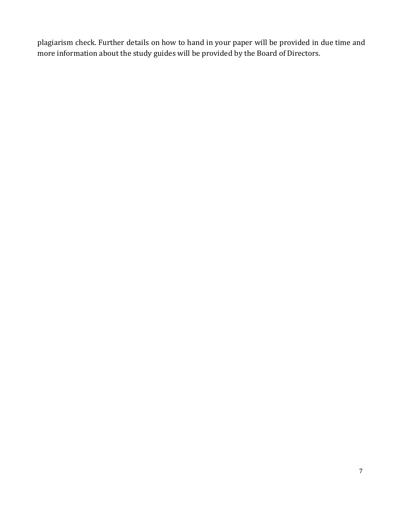plagiarism check. Further details on how to hand in your paper will be provided in due time and more information about the study guides will be provided by the Board of Directors.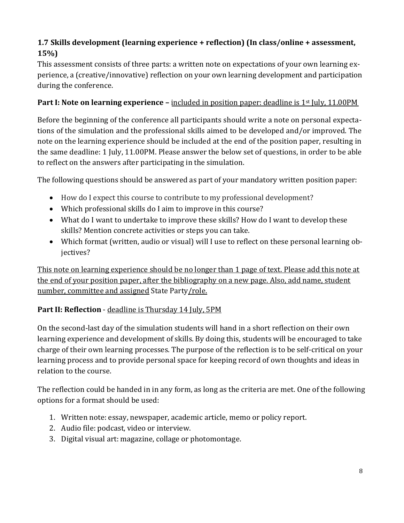# **1.7 Skills development (learning experience + reflection) (In class/online + assessment, 15%)**

This assessment consists of three parts: a written note on expectations of your own learning experience, a (creative/innovative) reflection on your own learning development and participation during the conference.

## **Part I:** Note on learning experience – included in position paper: deadline is 1<sup>st</sup> July, 11.00PM

Before the beginning of the conference all participants should write a note on personal expectations of the simulation and the professional skills aimed to be developed and/or improved. The note on the learning experience should be included at the end of the position paper, resulting in the same deadline: 1 July, 11.00PM. Please answer the below set of questions, in order to be able to reflect on the answers after participating in the simulation.

The following questions should be answered as part of your mandatory written position paper:

- How do I expect this course to contribute to my professional development?
- Which professional skills do I aim to improve in this course?
- What do I want to undertake to improve these skills? How do I want to develop these skills? Mention concrete activities or steps you can take.
- Which format (written, audio or visual) will I use to reflect on these personal learning objectives?

This note on learning experience should be no longer than 1 page of text. Please add this note at the end of your position paper, after the bibliography on a new page. Also, add name, student number, committee and assigned State Party/role.

### **Part II: Reflection** - deadline is Thursday 14 July, 5PM

On the second-last day of the simulation students will hand in a short reflection on their own learning experience and development of skills. By doing this, students will be encouraged to take charge of their own learning processes. The purpose of the reflection is to be self-critical on your learning process and to provide personal space for keeping record of own thoughts and ideas in relation to the course.

The reflection could be handed in in any form, as long as the criteria are met. One of the following options for a format should be used:

- 1. Written note: essay, newspaper, academic article, memo or policy report.
- 2. Audio file: podcast, video or interview.
- 3. Digital visual art: magazine, collage or photomontage.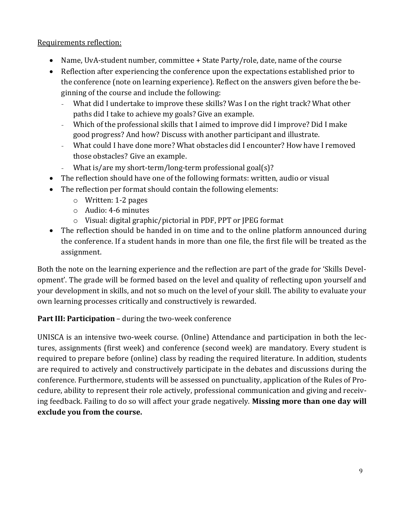### Requirements reflection:

- Name, UvA-student number, committee + State Party/role, date, name of the course
- Reflection after experiencing the conference upon the expectations established prior to the conference (note on learning experience). Reflect on the answers given before the beginning of the course and include the following:
	- What did I undertake to improve these skills? Was I on the right track? What other paths did I take to achieve my goals? Give an example.
	- Which of the professional skills that I aimed to improve did I improve? Did I make good progress? And how? Discuss with another participant and illustrate.
	- What could I have done more? What obstacles did I encounter? How have I removed those obstacles? Give an example.
	- What is/are my short-term/long-term professional goal(s)?
- The reflection should have one of the following formats: written, audio or visual
- The reflection per format should contain the following elements:
	- o Written: 1-2 pages
	- o Audio: 4-6 minutes
	- o Visual: digital graphic/pictorial in PDF, PPT or JPEG format
- The reflection should be handed in on time and to the online platform announced during the conference. If a student hands in more than one file, the first file will be treated as the assignment.

Both the note on the learning experience and the reflection are part of the grade for 'Skills Development'. The grade will be formed based on the level and quality of reflecting upon yourself and your development in skills, and not so much on the level of your skill. The ability to evaluate your own learning processes critically and constructively is rewarded.

# **Part III: Participation** – during the two-week conference

UNISCA is an intensive two-week course. (Online) Attendance and participation in both the lectures, assignments (first week) and conference (second week) are mandatory. Every student is required to prepare before (online) class by reading the required literature. In addition, students are required to actively and constructively participate in the debates and discussions during the conference. Furthermore, students will be assessed on punctuality, application of the Rules of Procedure, ability to represent their role actively, professional communication and giving and receiving feedback. Failing to do so will affect your grade negatively. **Missing more than one day will exclude you from the course.**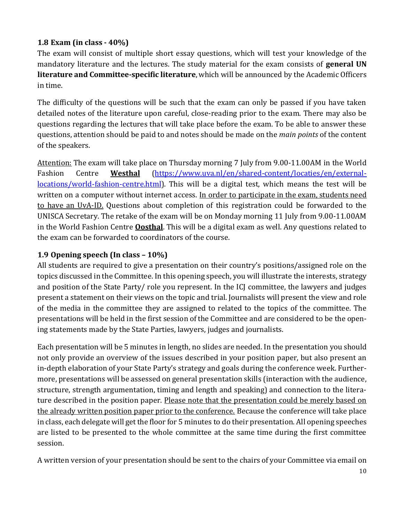# **1.8 Exam (in class - 40%)**

The exam will consist of multiple short essay questions, which will test your knowledge of the mandatory literature and the lectures. The study material for the exam consists of **general UN literature and Committee-specific literature**, which will be announced by the Academic Officers in time.

The difficulty of the questions will be such that the exam can only be passed if you have taken detailed notes of the literature upon careful, close-reading prior to the exam. There may also be questions regarding the lectures that will take place before the exam. To be able to answer these questions, attention should be paid to and notes should be made on the *main points* of the content of the speakers.

Attention: The exam will take place on Thursday morning 7 July from 9.00-11.00AM in the World Fashion Centre **Westhal** [\(https://www.uva.nl/en/shared-content/locaties/en/external](https://www.uva.nl/en/shared-content/locaties/en/external-locations/world-fashion-centre.html)[locations/world-fashion-centre.html\)](https://www.uva.nl/en/shared-content/locaties/en/external-locations/world-fashion-centre.html). This will be a digital test, which means the test will be written on a computer without internet access. In order to participate in the exam, students need to have an UvA-ID. Questions about completion of this registration could be forwarded to the UNISCA Secretary. The retake of the exam will be on Monday morning 11 July from 9.00-11.00AM in the World Fashion Centre **Oosthal**. This will be a digital exam as well. Any questions related to the exam can be forwarded to coordinators of the course.

### <span id="page-11-0"></span>**1.9 Opening speech (In class – 10%)**

All students are required to give a presentation on their country's positions/assigned role on the topics discussed in the Committee. In this opening speech, you will illustrate the interests, strategy and position of the State Party/ role you represent. In the ICJ committee, the lawyers and judges present a statement on their views on the topic and trial. Journalists will present the view and role of the media in the committee they are assigned to related to the topics of the committee. The presentations will be held in the first session of the Committee and are considered to be the opening statements made by the State Parties, lawyers, judges and journalists.

Each presentation will be 5 minutes in length, no slides are needed. In the presentation you should not only provide an overview of the issues described in your position paper, but also present an in-depth elaboration of your State Party's strategy and goals during the conference week. Furthermore, presentations will be assessed on general presentation skills (interaction with the audience, structure, strength argumentation, timing and length and speaking) and connection to the literature described in the position paper. Please note that the presentation could be merely based on the already written position paper prior to the conference. Because the conference will take place in class, each delegate will get the floor for 5 minutes to do their presentation. All opening speeches are listed to be presented to the whole committee at the same time during the first committee session.

A written version of your presentation should be sent to the chairs of your Committee via email on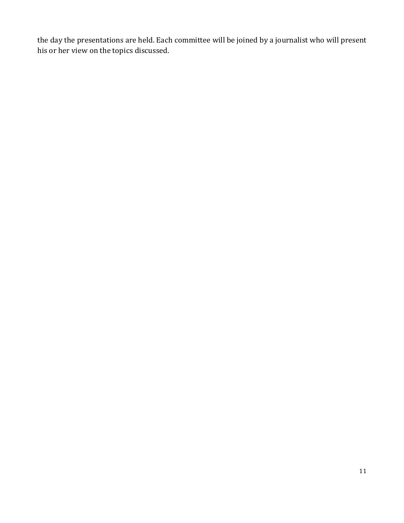the day the presentations are held. Each committee will be joined by a journalist who will present his or her view on the topics discussed.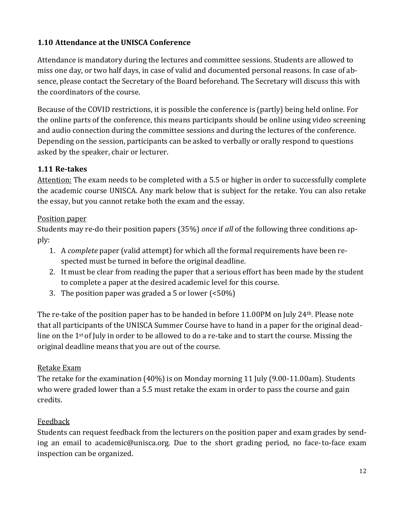## <span id="page-13-0"></span>**1.10 Attendance at the UNISCA Conference**

Attendance is mandatory during the lectures and committee sessions. Students are allowed to miss one day, or two half days, in case of valid and documented personal reasons. In case of absence, please contact the Secretary of the Board beforehand. The Secretary will discuss this with the coordinators of the course.

Because of the COVID restrictions, it is possible the conference is (partly) being held online. For the online parts of the conference, this means participants should be online using video screening and audio connection during the committee sessions and during the lectures of the conference. Depending on the session, participants can be asked to verbally or orally respond to questions asked by the speaker, chair or lecturer.

### <span id="page-13-1"></span>**1.11 Re-takes**

Attention: The exam needs to be completed with a 5.5 or higher in order to successfully complete the academic course UNISCA. Any mark below that is subject for the retake. You can also retake the essay, but you cannot retake both the exam and the essay.

#### Position paper

Students may re-do their position papers (35%) *once* if *all* of the following three conditions apply:

- 1. A *complete* paper (valid attempt) for which all the formal requirements have been respected must be turned in before the original deadline.
- 2. It must be clear from reading the paper that a serious effort has been made by the student to complete a paper at the desired academic level for this course.
- 3. The position paper was graded a 5 or lower (<50%)

The re-take of the position paper has to be handed in before 11.00PM on July 24<sup>th</sup>. Please note that all participants of the UNISCA Summer Course have to hand in a paper for the original deadline on the 1<sup>st</sup> of July in order to be allowed to do a re-take and to start the course. Missing the original deadline means that you are out of the course.

### Retake Exam

The retake for the examination (40%) is on Monday morning 11 July (9.00-11.00am). Students who were graded lower than a 5.5 must retake the exam in order to pass the course and gain credits.

### Feedback

Students can request feedback from the lecturers on the position paper and exam grades by sending an email to [academic@unisca.org. D](mailto:academic@unisca.org)ue to the short grading period, no face-to-face exam inspection can be organized.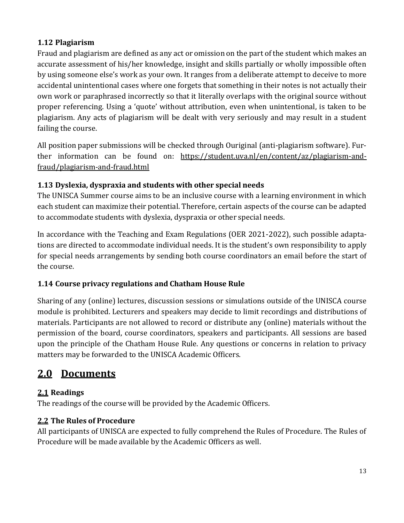# <span id="page-14-0"></span>**1.12 Plagiarism**

Fraud and plagiarism are defined as any act or omission on the part of the student which makes an accurate assessment of his/her knowledge, insight and skills partially or wholly impossible often by using someone else's work as your own. It ranges from a deliberate attempt to deceive to more accidental unintentional cases where one forgets that something in their notes is not actually their own work or paraphrased incorrectly so that it literally overlaps with the original source without proper referencing. Using a 'quote' without attribution, even when unintentional, is taken to be plagiarism. Any acts of plagiarism will be dealt with very seriously and may result in a student failing the course.

All position paper submissions will be checked through Ouriginal (anti-plagiarism software). Further information can be found on: https://student.uva.nl/en/content/az/plagiarism-andfraud/plagiarism-and-fraud.html

# <span id="page-14-1"></span>**1.13 Dyslexia, dyspraxia and students with other special needs**

The UNISCA Summer course aims to be an inclusive course with a learning environment in which each student can maximize their potential. Therefore, certain aspects of the course can be adapted to accommodate students with dyslexia, dyspraxia or other special needs.

In accordance with the Teaching and Exam Regulations (OER 2021-2022), such possible adaptations are directed to accommodate individual needs. It is the student's own responsibility to apply for special needs arrangements by sending both course coordinators an email before the start of the course.

# **1.14 Course privacy regulations and Chatham House Rule**

Sharing of any (online) lectures, discussion sessions or simulations outside of the UNISCA course module is prohibited. Lecturers and speakers may decide to limit recordings and distributions of materials. Participants are not allowed to record or distribute any (online) materials without the permission of the board, course coordinators, speakers and participants. All sessions are based upon the principle of the Chatham House Rule. Any questions or concerns in relation to privacy matters may be forwarded to the UNISCA Academic Officers.

# <span id="page-14-2"></span>**2.0 Documents**

# <span id="page-14-3"></span>**2.1 Readings**

The readings of the course will be provided by the Academic Officers.

# <span id="page-14-4"></span>**2.2 The Rules of Procedure**

All participants of UNISCA are expected to fully comprehend the Rules of Procedure. The Rules of Procedure will be made available by the Academic Officers as well.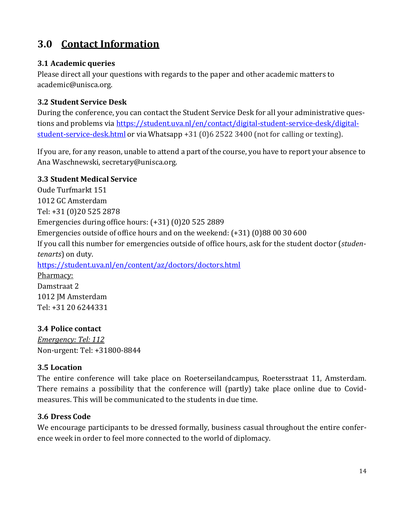# <span id="page-15-0"></span>**3.0 Contact Information**

#### <span id="page-15-1"></span>**3.1 Academic queries**

Please direct all your questions with regards to the paper and other academic matters to [academic@unisca.org.](mailto:academic@unisca.org)

### <span id="page-15-2"></span>**3.2 Student Service Desk**

During the conference, you can contact the Student Service Desk for all your administrative questions and problems via https://student.uva.nl/en/contact/digital-student-service-desk/digitalstudent-service-desk.html or via Whatsapp +31 (0)6 2522 3400 (not for calling or texting).

If you are, for any reason, unable to attend a part of the course, you have to report your absence to Ana Waschnewski, [secretary@unisca.org.](mailto:secretary@unisca.org)

#### <span id="page-15-3"></span>**3.3 Student Medical Service**

Oude Turfmarkt 151 1012 GC Amsterdam Tel: +31 (0)20 525 2878 Emergencies during office hours: (+31) (0)20 525 2889 Emergencies outside of office hours and on the weekend: (+31) (0)88 00 30 600 If you call this number for emergencies outside of office hours, ask for the student doctor (*studentenarts*) on duty. https://student.uva.nl/en/content/az/doctors/doctors.html Pharmacy:

Damstraat 2 1012 JM Amsterdam Tel: +31 20 6244331

### **3.4 Police contact**

*Emergency: Tel: 112* Non-urgent: Tel: +31800-8844

### <span id="page-15-4"></span>**3.5 Location**

The entire conference will take place on Roeterseilandcampus, Roetersstraat 11, Amsterdam. There remains a possibility that the conference will (partly) take place online due to Covidmeasures. This will be communicated to the students in due time.

### <span id="page-15-5"></span>**3.6 Dress Code**

We encourage participants to be dressed formally, business casual throughout the entire conference week in order to feel more connected to the world of diplomacy.